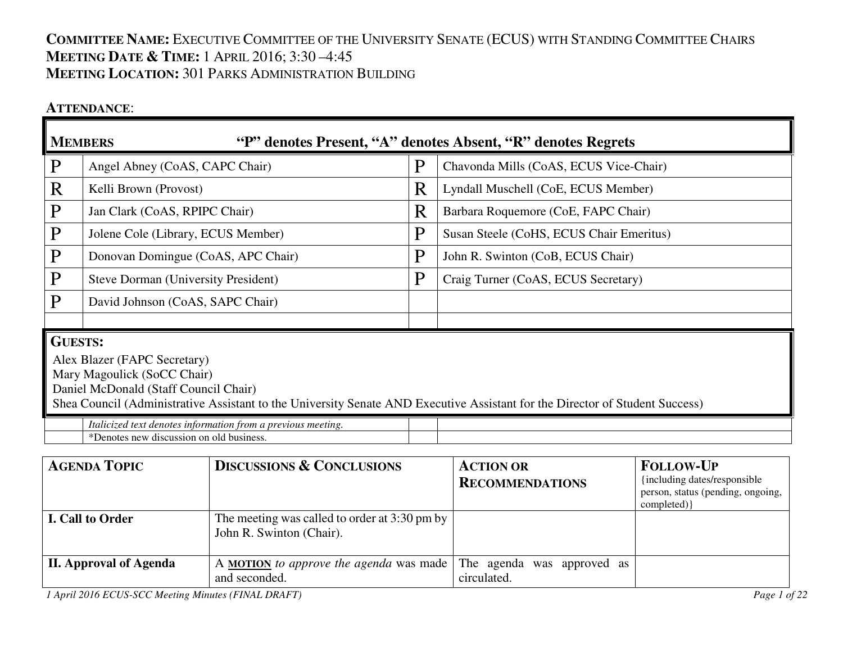# **COMMITTEE NAME:** <sup>E</sup>XECUTIVE COMMITTEE OF THE UNIVERSITY SENATE (ECUS) WITH STANDING COMMITTEE CHAIRS**MEETING DATE & <sup>T</sup>IME:** <sup>1</sup> <sup>A</sup>PRIL 2016; 3:30 –4:45 **MEETING LOCATION:** <sup>301</sup> <sup>P</sup>ARKS ADMINISTRATION BUILDING

### **ATTENDANCE**:

|                                                                                                                                                                                                                                                        | <b>MEMBERS</b><br>"P" denotes Present, "A" denotes Absent, "R" denotes Regrets                           |   |                                          |  |  |
|--------------------------------------------------------------------------------------------------------------------------------------------------------------------------------------------------------------------------------------------------------|----------------------------------------------------------------------------------------------------------|---|------------------------------------------|--|--|
| $\mathbf{P}$                                                                                                                                                                                                                                           | Angel Abney (CoAS, CAPC Chair)                                                                           | Ρ | Chavonda Mills (CoAS, ECUS Vice-Chair)   |  |  |
| R                                                                                                                                                                                                                                                      | Kelli Brown (Provost)                                                                                    | R | Lyndall Muschell (CoE, ECUS Member)      |  |  |
| $\mathbf{P}$                                                                                                                                                                                                                                           | Jan Clark (CoAS, RPIPC Chair)                                                                            | R | Barbara Roquemore (CoE, FAPC Chair)      |  |  |
| $\mathbf{P}$                                                                                                                                                                                                                                           | Jolene Cole (Library, ECUS Member)                                                                       | Ρ | Susan Steele (CoHS, ECUS Chair Emeritus) |  |  |
| $\mathbf{P}$                                                                                                                                                                                                                                           | Donovan Domingue (CoAS, APC Chair)                                                                       | P | John R. Swinton (CoB, ECUS Chair)        |  |  |
| $\mathbf{P}$                                                                                                                                                                                                                                           | <b>Steve Dorman (University President)</b>                                                               | Р | Craig Turner (CoAS, ECUS Secretary)      |  |  |
| P                                                                                                                                                                                                                                                      | David Johnson (CoAS, SAPC Chair)                                                                         |   |                                          |  |  |
|                                                                                                                                                                                                                                                        |                                                                                                          |   |                                          |  |  |
| <b>GUESTS:</b><br>Alex Blazer (FAPC Secretary)<br>Mary Magoulick (SoCC Chair)<br>Daniel McDonald (Staff Council Chair)<br>Shea Council (Administrative Assistant to the University Senate AND Executive Assistant for the Director of Student Success) |                                                                                                          |   |                                          |  |  |
|                                                                                                                                                                                                                                                        | Italicized text denotes information from a previous meeting.<br>*Denotes new discussion on old business. |   |                                          |  |  |

| <b>AGENDA TOPIC</b>           | <b>DISCUSSIONS &amp; CONCLUSIONS</b>                                              | <b>ACTION OR</b><br><b>RECOMMENDATIONS</b> | <b>FOLLOW-UP</b><br>{including dates/responsible}<br>person, status (pending, ongoing,<br>completed) } |
|-------------------------------|-----------------------------------------------------------------------------------|--------------------------------------------|--------------------------------------------------------------------------------------------------------|
| <b>I. Call to Order</b>       | The meeting was called to order at 3:30 pm by $\vert$<br>John R. Swinton (Chair). |                                            |                                                                                                        |
| <b>II. Approval of Agenda</b> | A <b>MOTION</b> to approve the agenda was made<br>and seconded.                   | The agenda was approved as<br>circulated.  |                                                                                                        |

*1 April 2016 ECUS-SCC Meeting Minutes (FINAL DRAFT)*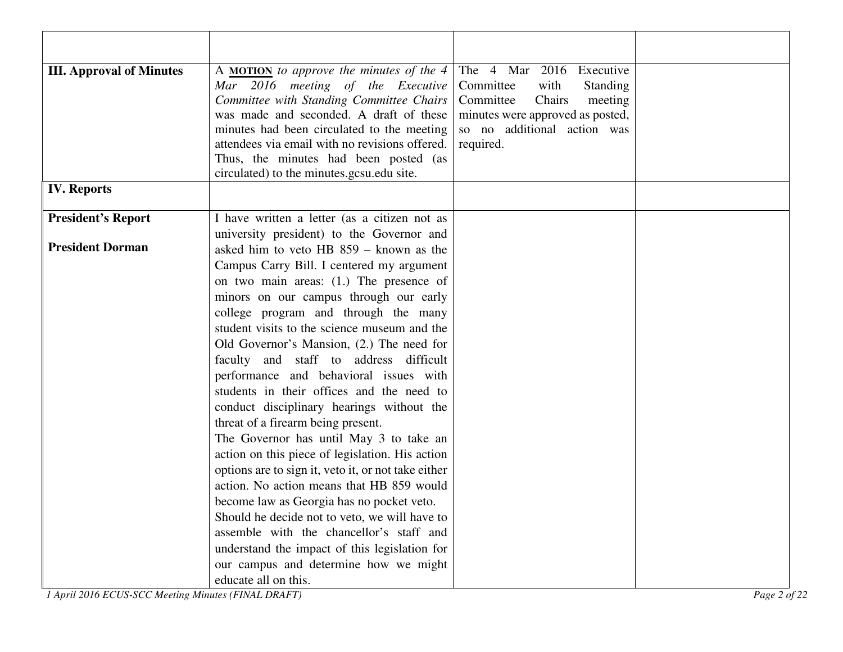| <b>III. Approval of Minutes</b> | A MOTION to approve the minutes of the 4<br>Mar 2016 meeting of the Executive              | The 4 Mar 2016 Executive<br>Committee<br>with<br><b>Standing</b> |  |
|---------------------------------|--------------------------------------------------------------------------------------------|------------------------------------------------------------------|--|
|                                 | Committee with Standing Committee Chairs                                                   | Committee<br>Chairs<br>meeting                                   |  |
|                                 | was made and seconded. A draft of these                                                    | minutes were approved as posted,                                 |  |
|                                 | minutes had been circulated to the meeting                                                 | so no additional action was                                      |  |
|                                 | attendees via email with no revisions offered.                                             | required.                                                        |  |
|                                 | Thus, the minutes had been posted (as                                                      |                                                                  |  |
|                                 | circulated) to the minutes.gcsu.edu site.                                                  |                                                                  |  |
| <b>IV.</b> Reports              |                                                                                            |                                                                  |  |
| <b>President's Report</b>       | I have written a letter (as a citizen not as                                               |                                                                  |  |
|                                 | university president) to the Governor and                                                  |                                                                  |  |
| <b>President Dorman</b>         | asked him to veto HB 859 – known as the                                                    |                                                                  |  |
|                                 | Campus Carry Bill. I centered my argument                                                  |                                                                  |  |
|                                 | on two main areas: $(1.)$ The presence of                                                  |                                                                  |  |
|                                 | minors on our campus through our early                                                     |                                                                  |  |
|                                 | college program and through the many                                                       |                                                                  |  |
|                                 | student visits to the science museum and the                                               |                                                                  |  |
|                                 | Old Governor's Mansion, (2.) The need for                                                  |                                                                  |  |
|                                 | faculty and staff to address difficult                                                     |                                                                  |  |
|                                 | performance and behavioral issues with                                                     |                                                                  |  |
|                                 | students in their offices and the need to                                                  |                                                                  |  |
|                                 | conduct disciplinary hearings without the                                                  |                                                                  |  |
|                                 | threat of a firearm being present.                                                         |                                                                  |  |
|                                 | The Governor has until May 3 to take an<br>action on this piece of legislation. His action |                                                                  |  |
|                                 | options are to sign it, veto it, or not take either                                        |                                                                  |  |
|                                 | action. No action means that HB 859 would                                                  |                                                                  |  |
|                                 | become law as Georgia has no pocket veto.                                                  |                                                                  |  |
|                                 | Should he decide not to veto, we will have to                                              |                                                                  |  |
|                                 | assemble with the chancellor's staff and                                                   |                                                                  |  |
|                                 | understand the impact of this legislation for                                              |                                                                  |  |
|                                 | our campus and determine how we might                                                      |                                                                  |  |
|                                 | educate all on this.                                                                       |                                                                  |  |

*1 April 2016 ECUS-SCC Meeting Minutes (FINAL DRAFT)*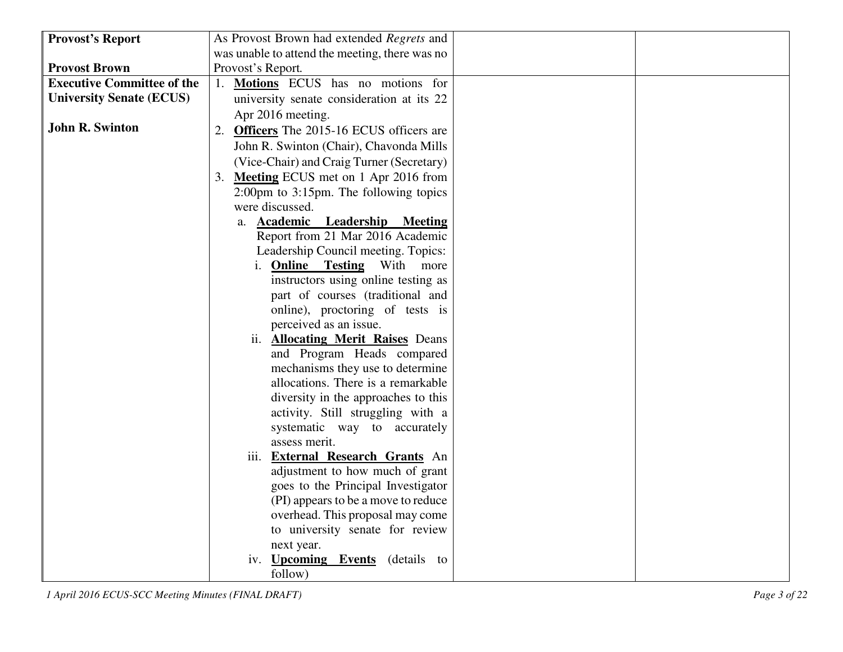| <b>Provost's Report</b>           | As Provost Brown had extended Regrets and                   |
|-----------------------------------|-------------------------------------------------------------|
|                                   | was unable to attend the meeting, there was no              |
| <b>Provost Brown</b>              | Provost's Report.                                           |
| <b>Executive Committee of the</b> | 1. Motions ECUS has no motions for                          |
| <b>University Senate (ECUS)</b>   | university senate consideration at its 22                   |
|                                   | Apr 2016 meeting.                                           |
| <b>John R. Swinton</b>            | 2. Officers The 2015-16 ECUS officers are                   |
|                                   | John R. Swinton (Chair), Chavonda Mills                     |
|                                   | (Vice-Chair) and Craig Turner (Secretary)                   |
|                                   | 3. Meeting ECUS met on 1 Apr 2016 from                      |
|                                   | $2:00 \text{pm}$ to $3:15 \text{pm}$ . The following topics |
|                                   | were discussed.                                             |
|                                   | <b>Academic Leadership Meeting</b><br>a.                    |
|                                   | Report from 21 Mar 2016 Academic                            |
|                                   | Leadership Council meeting. Topics:                         |
|                                   | i. Online Testing<br>With<br>more                           |
|                                   | instructors using online testing as                         |
|                                   | part of courses (traditional and                            |
|                                   | online), proctoring of tests is                             |
|                                   | perceived as an issue.                                      |
|                                   | ii. <b>Allocating Merit Raises</b> Deans                    |
|                                   | and Program Heads compared                                  |
|                                   | mechanisms they use to determine                            |
|                                   | allocations. There is a remarkable                          |
|                                   | diversity in the approaches to this                         |
|                                   | activity. Still struggling with a                           |
|                                   | systematic way to accurately<br>assess merit.               |
|                                   | iii. External Research Grants An                            |
|                                   | adjustment to how much of grant                             |
|                                   | goes to the Principal Investigator                          |
|                                   | (PI) appears to be a move to reduce                         |
|                                   | overhead. This proposal may come                            |
|                                   | to university senate for review                             |
|                                   | next year.                                                  |
|                                   | iv. <b>Upcoming Events</b> (details to                      |
|                                   | follow)                                                     |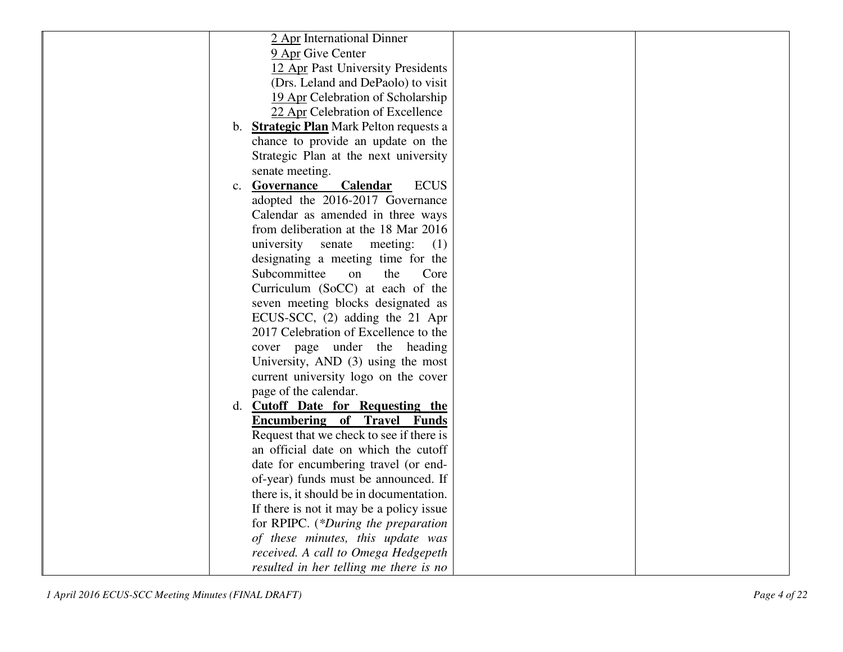| 2 Apr International Dinner                      |
|-------------------------------------------------|
| 9 Apr Give Center                               |
| 12 Apr Past University Presidents               |
| (Drs. Leland and DePaolo) to visit              |
| 19 Apr Celebration of Scholarship               |
| 22 Apr Celebration of Excellence                |
| b. <b>Strategic Plan</b> Mark Pelton requests a |
| chance to provide an update on the              |
| Strategic Plan at the next university           |
| senate meeting.                                 |
| c. Governance<br><b>ECUS</b><br><b>Calendar</b> |
| adopted the 2016-2017 Governance                |
| Calendar as amended in three ways               |
| from deliberation at the 18 Mar 2016            |
| university<br>senate<br>meeting:<br>(1)         |
| designating a meeting time for the              |
| Subcommittee<br>the<br>Core<br>on               |
| Curriculum (SoCC) at each of the                |
| seven meeting blocks designated as              |
| ECUS-SCC, (2) adding the 21 Apr                 |
| 2017 Celebration of Excellence to the           |
|                                                 |
| cover page under the heading                    |
| University, AND (3) using the most              |
| current university logo on the cover            |
| page of the calendar.                           |
| d. Cutoff Date for Requesting the               |
| <b>Encumbering of Travel Funds</b>              |
| Request that we check to see if there is        |
| an official date on which the cutoff            |
| date for encumbering travel (or end-            |
| of-year) funds must be announced. If            |
| there is, it should be in documentation.        |
| If there is not it may be a policy issue        |
| for RPIPC. (*During the preparation             |
| of these minutes, this update was               |
| received. A call to Omega Hedgepeth             |
| resulted in her telling me there is no          |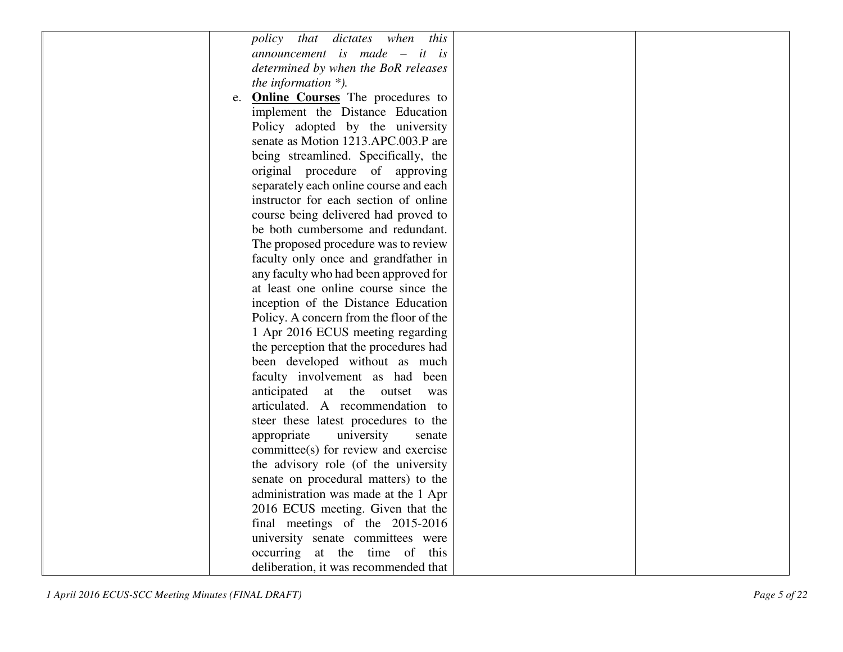| <i>policy that dictates</i><br>when<br>this   |  |
|-----------------------------------------------|--|
| announcement is made $-$ it is                |  |
| determined by when the BoR releases           |  |
| the information $*$ ).                        |  |
| <b>Online Courses</b> The procedures to<br>e. |  |
| implement the Distance Education              |  |
| Policy adopted by the university              |  |
| senate as Motion 1213.APC.003.P are           |  |
| being streamlined. Specifically, the          |  |
| original procedure of approving               |  |
| separately each online course and each        |  |
| instructor for each section of online         |  |
| course being delivered had proved to          |  |
| be both cumbersome and redundant.             |  |
| The proposed procedure was to review          |  |
| faculty only once and grandfather in          |  |
| any faculty who had been approved for         |  |
| at least one online course since the          |  |
| inception of the Distance Education           |  |
| Policy. A concern from the floor of the       |  |
| 1 Apr 2016 ECUS meeting regarding             |  |
| the perception that the procedures had        |  |
| been developed without as much                |  |
| faculty involvement as had been               |  |
| anticipated at the<br>outset<br>was           |  |
| articulated. A recommendation to              |  |
| steer these latest procedures to the          |  |
| university<br>appropriate<br>senate           |  |
| committee(s) for review and exercise          |  |
| the advisory role (of the university          |  |
| senate on procedural matters) to the          |  |
| administration was made at the 1 Apr          |  |
| 2016 ECUS meeting. Given that the             |  |
| final meetings of the 2015-2016               |  |
| university senate committees were             |  |
| occurring at the time of this                 |  |
| deliberation, it was recommended that         |  |
|                                               |  |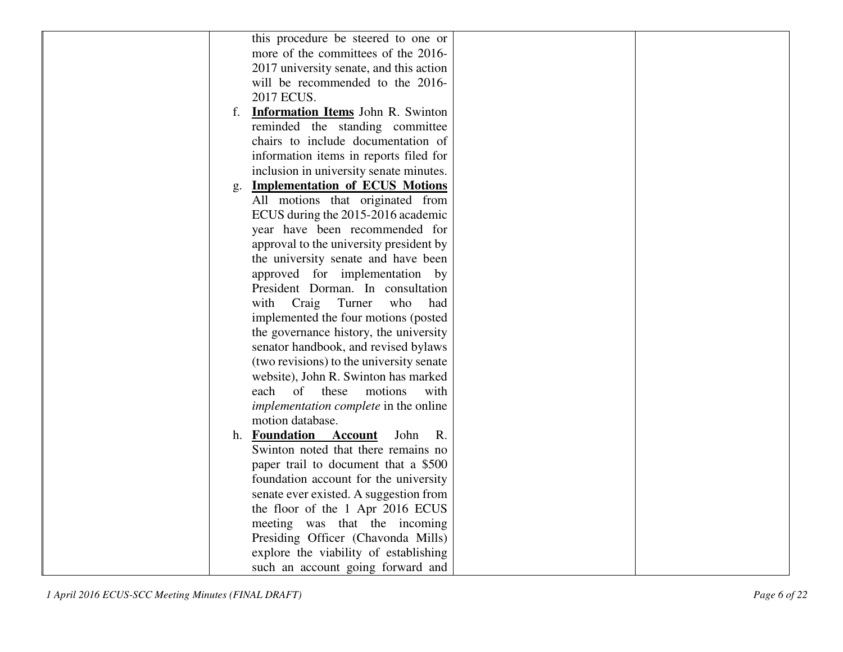| this procedure be steered to one or            |  |
|------------------------------------------------|--|
| more of the committees of the 2016-            |  |
| 2017 university senate, and this action        |  |
| will be recommended to the 2016-               |  |
| 2017 ECUS.                                     |  |
| <b>Information Items</b> John R. Swinton<br>f. |  |
| reminded the standing committee                |  |
| chairs to include documentation of             |  |
| information items in reports filed for         |  |
| inclusion in university senate minutes.        |  |
| <b>Implementation of ECUS Motions</b><br>g.    |  |
| All motions that originated from               |  |
| ECUS during the 2015-2016 academic             |  |
| year have been recommended for                 |  |
| approval to the university president by        |  |
| the university senate and have been            |  |
| approved for implementation by                 |  |
| President Dorman. In consultation              |  |
| Craig<br>Turner<br>who<br>with<br>had          |  |
| implemented the four motions (posted           |  |
| the governance history, the university         |  |
| senator handbook, and revised bylaws           |  |
| (two revisions) to the university senate       |  |
| website), John R. Swinton has marked           |  |
| of these<br>motions<br>each<br>with            |  |
| <i>implementation complete in the online</i>   |  |
| motion database.                               |  |
| h. Foundation Account<br>John<br>R.            |  |
| Swinton noted that there remains no            |  |
| paper trail to document that a \$500           |  |
| foundation account for the university          |  |
| senate ever existed. A suggestion from         |  |
| the floor of the 1 Apr 2016 ECUS               |  |
| meeting was that the incoming                  |  |
| Presiding Officer (Chavonda Mills)             |  |
| explore the viability of establishing          |  |
| such an account going forward and              |  |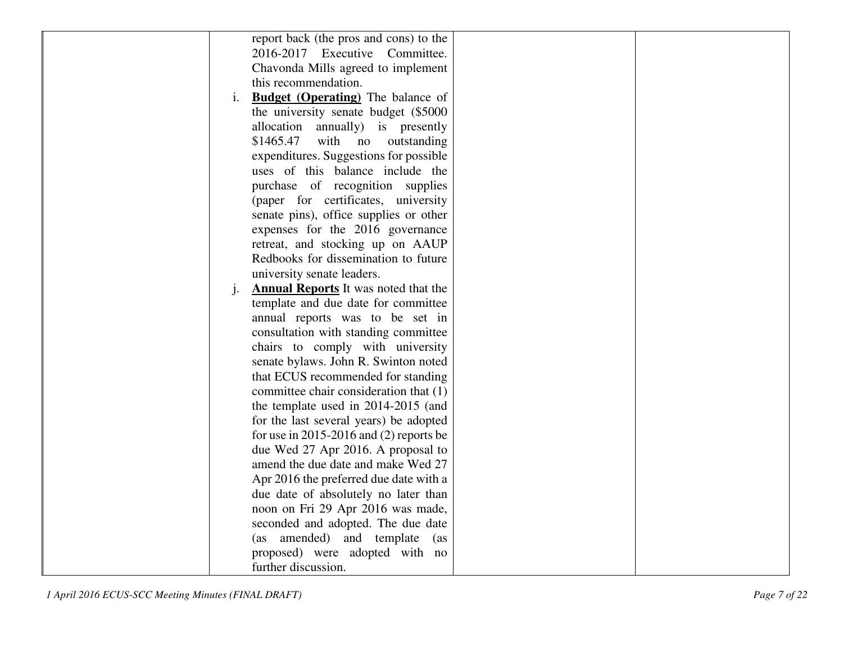|                | report back (the pros and cons) to the      |  |
|----------------|---------------------------------------------|--|
|                | $2016-2017$ Executive<br>Committee.         |  |
|                |                                             |  |
|                | Chavonda Mills agreed to implement          |  |
|                | this recommendation.                        |  |
| i.             | <b>Budget (Operating)</b> The balance of    |  |
|                | the university senate budget (\$5000)       |  |
|                | allocation<br>annually) is presently        |  |
|                | \$1465.47<br>with<br>no<br>outstanding      |  |
|                | expenditures. Suggestions for possible      |  |
|                | uses of this balance include the            |  |
|                | purchase of recognition supplies            |  |
|                | (paper for certificates, university         |  |
|                | senate pins), office supplies or other      |  |
|                | expenses for the 2016 governance            |  |
|                | retreat, and stocking up on AAUP            |  |
|                | Redbooks for dissemination to future        |  |
|                | university senate leaders.                  |  |
| $\mathbf{i}$ . | <b>Annual Reports</b> It was noted that the |  |
|                | template and due date for committee         |  |
|                | annual reports was to be set in             |  |
|                | consultation with standing committee        |  |
|                | chairs to comply with university            |  |
|                | senate bylaws. John R. Swinton noted        |  |
|                | that ECUS recommended for standing          |  |
|                | committee chair consideration that (1)      |  |
|                | the template used in 2014-2015 (and         |  |
|                | for the last several years) be adopted      |  |
|                | for use in 2015-2016 and $(2)$ reports be   |  |
|                | due Wed 27 Apr 2016. A proposal to          |  |
|                | amend the due date and make Wed 27          |  |
|                | Apr 2016 the preferred due date with a      |  |
|                | due date of absolutely no later than        |  |
|                | noon on Fri 29 Apr 2016 was made,           |  |
|                | seconded and adopted. The due date          |  |
|                | amended) and template<br>(as<br>(as         |  |
|                | proposed) were adopted with no              |  |
|                | further discussion.                         |  |
|                |                                             |  |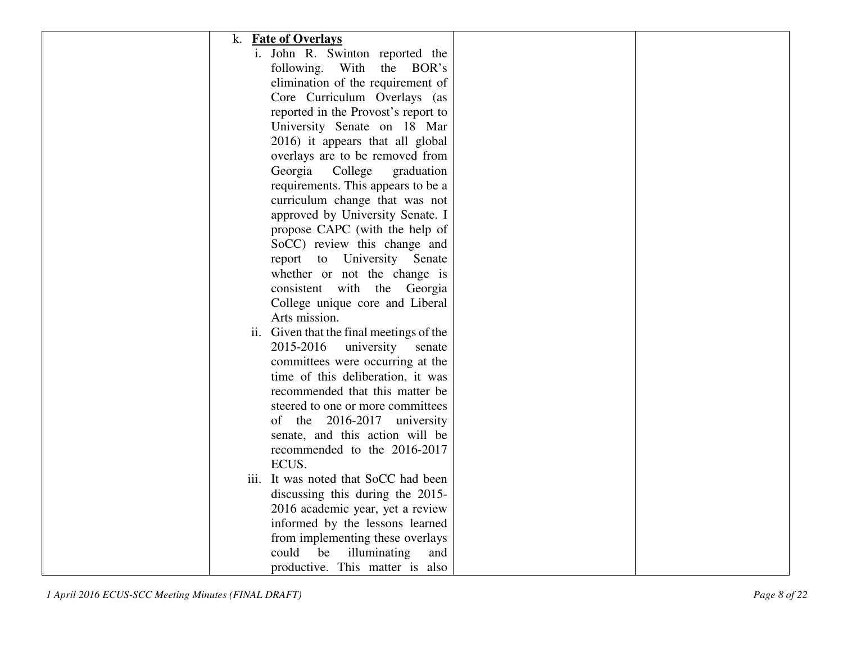| k. Fate of Overlays                                                |  |
|--------------------------------------------------------------------|--|
| i. John R. Swinton reported the                                    |  |
| following. With the BOR's                                          |  |
| elimination of the requirement of                                  |  |
| Core Curriculum Overlays (as                                       |  |
| reported in the Provost's report to                                |  |
| University Senate on 18 Mar                                        |  |
| 2016) it appears that all global                                   |  |
| overlays are to be removed from                                    |  |
| Georgia College<br>graduation                                      |  |
| requirements. This appears to be a                                 |  |
| curriculum change that was not                                     |  |
|                                                                    |  |
| approved by University Senate. I<br>propose CAPC (with the help of |  |
|                                                                    |  |
| SoCC) review this change and                                       |  |
| report to University Senate                                        |  |
| whether or not the change is                                       |  |
| consistent with the Georgia                                        |  |
| College unique core and Liberal                                    |  |
| Arts mission.                                                      |  |
| ii. Given that the final meetings of the                           |  |
| 2015-2016<br>university<br>senate                                  |  |
| committees were occurring at the                                   |  |
| time of this deliberation, it was                                  |  |
| recommended that this matter be                                    |  |
| steered to one or more committees                                  |  |
| of the 2016-2017 university                                        |  |
| senate, and this action will be                                    |  |
| recommended to the 2016-2017                                       |  |
| ECUS.                                                              |  |
| iii. It was noted that SoCC had been                               |  |
| discussing this during the 2015-                                   |  |
| 2016 academic year, yet a review                                   |  |
| informed by the lessons learned                                    |  |
| from implementing these overlays                                   |  |
| could<br>illuminating<br>be<br>and                                 |  |
| productive. This matter is also                                    |  |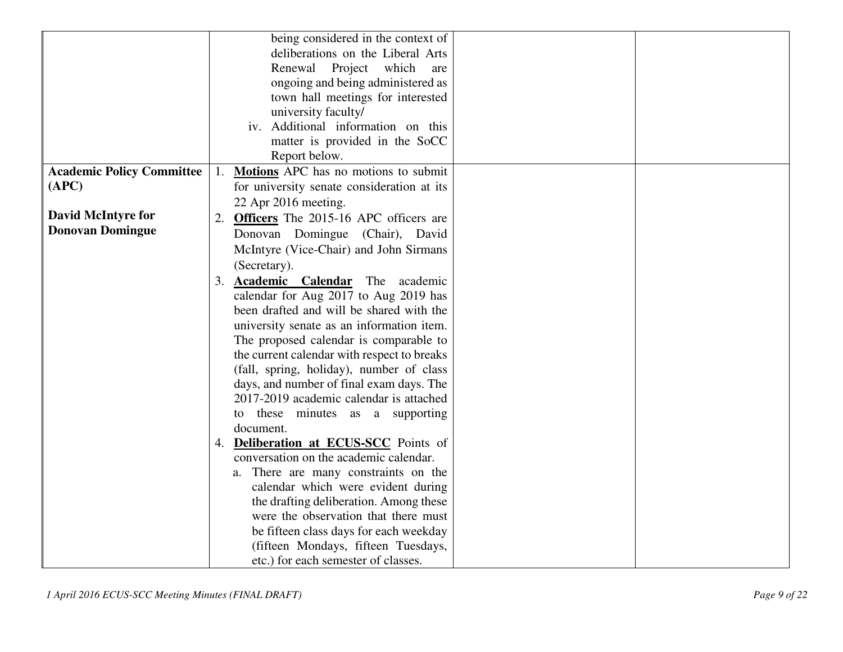| being considered in the context of<br>deliberations on the Liberal Arts<br>Renewal<br>Project<br>which<br>are<br>ongoing and being administered as<br>town hall meetings for interested<br>university faculty/<br>iv. Additional information on this<br>matter is provided in the SoCC<br>Report below.<br><b>Academic Policy Committee</b><br>Motions APC has no motions to submit<br>1.<br>(APC)<br>for university senate consideration at its<br>22 Apr 2016 meeting.<br><b>David McIntyre for</b><br><b>Officers</b> The 2015-16 APC officers are<br>2.<br><b>Donovan Domingue</b><br>Donovan Domingue (Chair), David<br>McIntyre (Vice-Chair) and John Sirmans |
|---------------------------------------------------------------------------------------------------------------------------------------------------------------------------------------------------------------------------------------------------------------------------------------------------------------------------------------------------------------------------------------------------------------------------------------------------------------------------------------------------------------------------------------------------------------------------------------------------------------------------------------------------------------------|
|                                                                                                                                                                                                                                                                                                                                                                                                                                                                                                                                                                                                                                                                     |
|                                                                                                                                                                                                                                                                                                                                                                                                                                                                                                                                                                                                                                                                     |
|                                                                                                                                                                                                                                                                                                                                                                                                                                                                                                                                                                                                                                                                     |
|                                                                                                                                                                                                                                                                                                                                                                                                                                                                                                                                                                                                                                                                     |
|                                                                                                                                                                                                                                                                                                                                                                                                                                                                                                                                                                                                                                                                     |
|                                                                                                                                                                                                                                                                                                                                                                                                                                                                                                                                                                                                                                                                     |
|                                                                                                                                                                                                                                                                                                                                                                                                                                                                                                                                                                                                                                                                     |
|                                                                                                                                                                                                                                                                                                                                                                                                                                                                                                                                                                                                                                                                     |
|                                                                                                                                                                                                                                                                                                                                                                                                                                                                                                                                                                                                                                                                     |
|                                                                                                                                                                                                                                                                                                                                                                                                                                                                                                                                                                                                                                                                     |
|                                                                                                                                                                                                                                                                                                                                                                                                                                                                                                                                                                                                                                                                     |
|                                                                                                                                                                                                                                                                                                                                                                                                                                                                                                                                                                                                                                                                     |
|                                                                                                                                                                                                                                                                                                                                                                                                                                                                                                                                                                                                                                                                     |
|                                                                                                                                                                                                                                                                                                                                                                                                                                                                                                                                                                                                                                                                     |
|                                                                                                                                                                                                                                                                                                                                                                                                                                                                                                                                                                                                                                                                     |
| (Secretary).                                                                                                                                                                                                                                                                                                                                                                                                                                                                                                                                                                                                                                                        |
| 3. Academic Calendar The academic                                                                                                                                                                                                                                                                                                                                                                                                                                                                                                                                                                                                                                   |
| calendar for Aug 2017 to Aug 2019 has                                                                                                                                                                                                                                                                                                                                                                                                                                                                                                                                                                                                                               |
| been drafted and will be shared with the                                                                                                                                                                                                                                                                                                                                                                                                                                                                                                                                                                                                                            |
| university senate as an information item.                                                                                                                                                                                                                                                                                                                                                                                                                                                                                                                                                                                                                           |
| The proposed calendar is comparable to                                                                                                                                                                                                                                                                                                                                                                                                                                                                                                                                                                                                                              |
| the current calendar with respect to breaks                                                                                                                                                                                                                                                                                                                                                                                                                                                                                                                                                                                                                         |
| (fall, spring, holiday), number of class                                                                                                                                                                                                                                                                                                                                                                                                                                                                                                                                                                                                                            |
| days, and number of final exam days. The                                                                                                                                                                                                                                                                                                                                                                                                                                                                                                                                                                                                                            |
| 2017-2019 academic calendar is attached                                                                                                                                                                                                                                                                                                                                                                                                                                                                                                                                                                                                                             |
| these minutes as a supporting<br>to                                                                                                                                                                                                                                                                                                                                                                                                                                                                                                                                                                                                                                 |
| document.                                                                                                                                                                                                                                                                                                                                                                                                                                                                                                                                                                                                                                                           |
| 4. Deliberation at ECUS-SCC Points of                                                                                                                                                                                                                                                                                                                                                                                                                                                                                                                                                                                                                               |
| conversation on the academic calendar.                                                                                                                                                                                                                                                                                                                                                                                                                                                                                                                                                                                                                              |
| There are many constraints on the<br>a.                                                                                                                                                                                                                                                                                                                                                                                                                                                                                                                                                                                                                             |
| calendar which were evident during                                                                                                                                                                                                                                                                                                                                                                                                                                                                                                                                                                                                                                  |
| the drafting deliberation. Among these                                                                                                                                                                                                                                                                                                                                                                                                                                                                                                                                                                                                                              |
| were the observation that there must                                                                                                                                                                                                                                                                                                                                                                                                                                                                                                                                                                                                                                |
| be fifteen class days for each weekday                                                                                                                                                                                                                                                                                                                                                                                                                                                                                                                                                                                                                              |
| (fifteen Mondays, fifteen Tuesdays,                                                                                                                                                                                                                                                                                                                                                                                                                                                                                                                                                                                                                                 |
| etc.) for each semester of classes.                                                                                                                                                                                                                                                                                                                                                                                                                                                                                                                                                                                                                                 |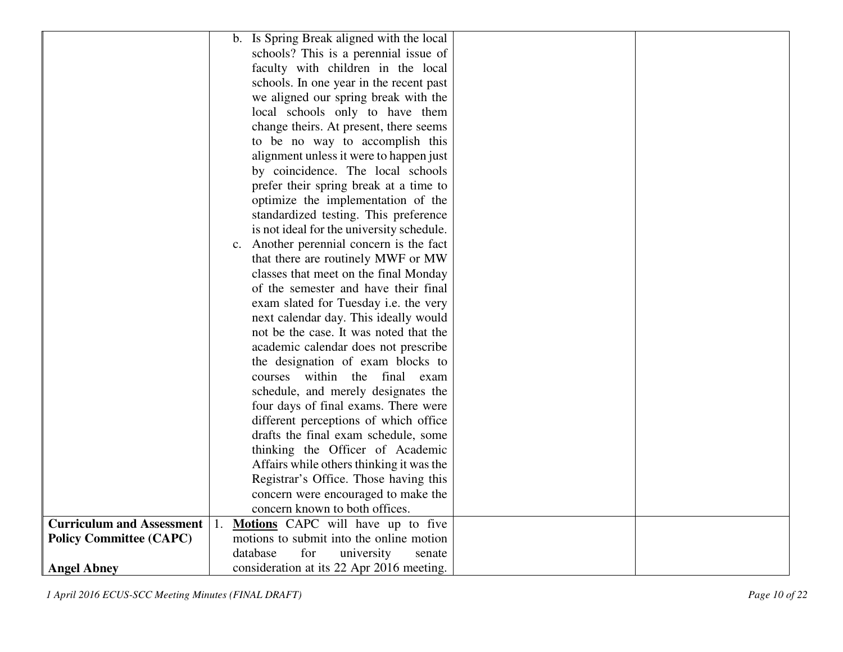|                                  | b. Is Spring Break aligned with the local |
|----------------------------------|-------------------------------------------|
|                                  | schools? This is a perennial issue of     |
|                                  | faculty with children in the local        |
|                                  | schools. In one year in the recent past   |
|                                  | we aligned our spring break with the      |
|                                  | local schools only to have them           |
|                                  | change theirs. At present, there seems    |
|                                  | to be no way to accomplish this           |
|                                  | alignment unless it were to happen just   |
|                                  | by coincidence. The local schools         |
|                                  | prefer their spring break at a time to    |
|                                  | optimize the implementation of the        |
|                                  | standardized testing. This preference     |
|                                  | is not ideal for the university schedule. |
|                                  | c. Another perennial concern is the fact  |
|                                  | that there are routinely MWF or MW        |
|                                  | classes that meet on the final Monday     |
|                                  | of the semester and have their final      |
|                                  | exam slated for Tuesday i.e. the very     |
|                                  | next calendar day. This ideally would     |
|                                  | not be the case. It was noted that the    |
|                                  | academic calendar does not prescribe      |
|                                  | the designation of exam blocks to         |
|                                  | courses within the final exam             |
|                                  | schedule, and merely designates the       |
|                                  | four days of final exams. There were      |
|                                  | different perceptions of which office     |
|                                  | drafts the final exam schedule, some      |
|                                  | thinking the Officer of Academic          |
|                                  | Affairs while others thinking it was the  |
|                                  | Registrar's Office. Those having this     |
|                                  | concern were encouraged to make the       |
|                                  | concern known to both offices.            |
| <b>Curriculum and Assessment</b> | Motions CAPC will have up to five         |
| <b>Policy Committee (CAPC)</b>   | motions to submit into the online motion  |
|                                  | for<br>database<br>university<br>senate   |
| <b>Angel Abney</b>               | consideration at its 22 Apr 2016 meeting. |

*1 April 2016 ECUS-SCC Meeting Minutes (FINAL DRAFT)*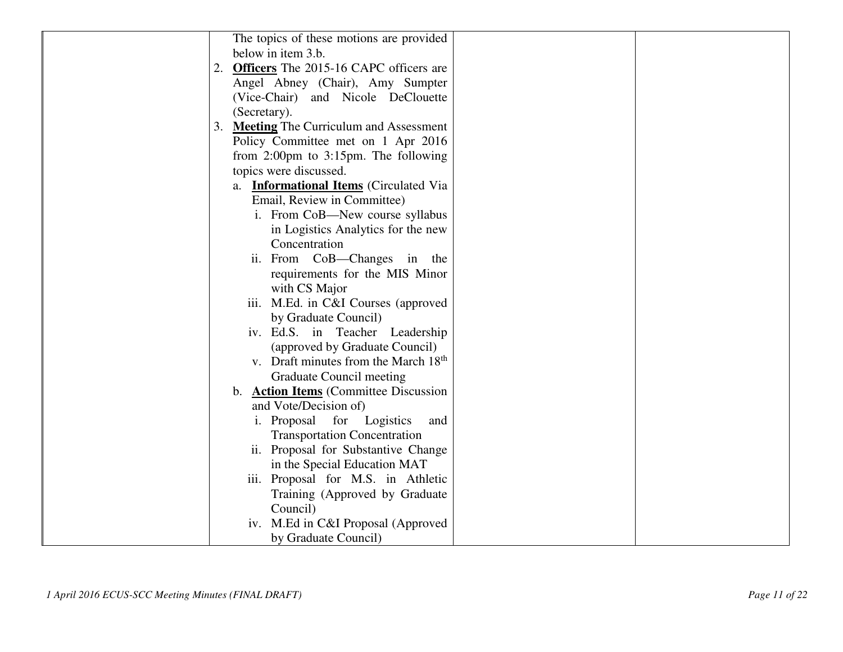| The topics of these motions are provided<br>below in item 3.b.<br>2. Officers The 2015-16 CAPC officers are<br>Angel Abney (Chair), Amy Sumpter<br>(Vice-Chair) and Nicole DeClouette<br>(Secretary).<br>3. Meeting The Curriculum and Assessment<br>Policy Committee met on 1 Apr 2016<br>from $2:00 \text{pm}$ to $3:15 \text{pm}$ . The following<br>topics were discussed.<br>a. <b>Informational Items</b> (Circulated Via<br>Email, Review in Committee)<br>i. From CoB-New course syllabus<br>in Logistics Analytics for the new<br>Concentration<br>ii. From CoB-Changes in the<br>requirements for the MIS Minor<br>with CS Major<br>iii. M.Ed. in C&I Courses (approved<br>by Graduate Council)<br>iv. Ed.S. in Teacher Leadership<br>(approved by Graduate Council)<br>v. Draft minutes from the March 18 <sup>th</sup><br><b>Graduate Council meeting</b><br>b. <b>Action Items</b> (Committee Discussion<br>and Vote/Decision of)<br>i. Proposal<br>for<br>Logistics<br>and<br><b>Transportation Concentration</b><br>ii. Proposal for Substantive Change<br>in the Special Education MAT<br>iii. Proposal for M.S. in Athletic<br>Training (Approved by Graduate<br>Council)<br>iv. M.Ed in C&I Proposal (Approved<br>by Graduate Council) |  |
|----------------------------------------------------------------------------------------------------------------------------------------------------------------------------------------------------------------------------------------------------------------------------------------------------------------------------------------------------------------------------------------------------------------------------------------------------------------------------------------------------------------------------------------------------------------------------------------------------------------------------------------------------------------------------------------------------------------------------------------------------------------------------------------------------------------------------------------------------------------------------------------------------------------------------------------------------------------------------------------------------------------------------------------------------------------------------------------------------------------------------------------------------------------------------------------------------------------------------------------------------------|--|
|                                                                                                                                                                                                                                                                                                                                                                                                                                                                                                                                                                                                                                                                                                                                                                                                                                                                                                                                                                                                                                                                                                                                                                                                                                                          |  |
|                                                                                                                                                                                                                                                                                                                                                                                                                                                                                                                                                                                                                                                                                                                                                                                                                                                                                                                                                                                                                                                                                                                                                                                                                                                          |  |
|                                                                                                                                                                                                                                                                                                                                                                                                                                                                                                                                                                                                                                                                                                                                                                                                                                                                                                                                                                                                                                                                                                                                                                                                                                                          |  |
|                                                                                                                                                                                                                                                                                                                                                                                                                                                                                                                                                                                                                                                                                                                                                                                                                                                                                                                                                                                                                                                                                                                                                                                                                                                          |  |
|                                                                                                                                                                                                                                                                                                                                                                                                                                                                                                                                                                                                                                                                                                                                                                                                                                                                                                                                                                                                                                                                                                                                                                                                                                                          |  |
|                                                                                                                                                                                                                                                                                                                                                                                                                                                                                                                                                                                                                                                                                                                                                                                                                                                                                                                                                                                                                                                                                                                                                                                                                                                          |  |
|                                                                                                                                                                                                                                                                                                                                                                                                                                                                                                                                                                                                                                                                                                                                                                                                                                                                                                                                                                                                                                                                                                                                                                                                                                                          |  |
|                                                                                                                                                                                                                                                                                                                                                                                                                                                                                                                                                                                                                                                                                                                                                                                                                                                                                                                                                                                                                                                                                                                                                                                                                                                          |  |
|                                                                                                                                                                                                                                                                                                                                                                                                                                                                                                                                                                                                                                                                                                                                                                                                                                                                                                                                                                                                                                                                                                                                                                                                                                                          |  |
|                                                                                                                                                                                                                                                                                                                                                                                                                                                                                                                                                                                                                                                                                                                                                                                                                                                                                                                                                                                                                                                                                                                                                                                                                                                          |  |
|                                                                                                                                                                                                                                                                                                                                                                                                                                                                                                                                                                                                                                                                                                                                                                                                                                                                                                                                                                                                                                                                                                                                                                                                                                                          |  |
|                                                                                                                                                                                                                                                                                                                                                                                                                                                                                                                                                                                                                                                                                                                                                                                                                                                                                                                                                                                                                                                                                                                                                                                                                                                          |  |
|                                                                                                                                                                                                                                                                                                                                                                                                                                                                                                                                                                                                                                                                                                                                                                                                                                                                                                                                                                                                                                                                                                                                                                                                                                                          |  |
|                                                                                                                                                                                                                                                                                                                                                                                                                                                                                                                                                                                                                                                                                                                                                                                                                                                                                                                                                                                                                                                                                                                                                                                                                                                          |  |
|                                                                                                                                                                                                                                                                                                                                                                                                                                                                                                                                                                                                                                                                                                                                                                                                                                                                                                                                                                                                                                                                                                                                                                                                                                                          |  |
|                                                                                                                                                                                                                                                                                                                                                                                                                                                                                                                                                                                                                                                                                                                                                                                                                                                                                                                                                                                                                                                                                                                                                                                                                                                          |  |
|                                                                                                                                                                                                                                                                                                                                                                                                                                                                                                                                                                                                                                                                                                                                                                                                                                                                                                                                                                                                                                                                                                                                                                                                                                                          |  |
|                                                                                                                                                                                                                                                                                                                                                                                                                                                                                                                                                                                                                                                                                                                                                                                                                                                                                                                                                                                                                                                                                                                                                                                                                                                          |  |
|                                                                                                                                                                                                                                                                                                                                                                                                                                                                                                                                                                                                                                                                                                                                                                                                                                                                                                                                                                                                                                                                                                                                                                                                                                                          |  |
|                                                                                                                                                                                                                                                                                                                                                                                                                                                                                                                                                                                                                                                                                                                                                                                                                                                                                                                                                                                                                                                                                                                                                                                                                                                          |  |
|                                                                                                                                                                                                                                                                                                                                                                                                                                                                                                                                                                                                                                                                                                                                                                                                                                                                                                                                                                                                                                                                                                                                                                                                                                                          |  |
|                                                                                                                                                                                                                                                                                                                                                                                                                                                                                                                                                                                                                                                                                                                                                                                                                                                                                                                                                                                                                                                                                                                                                                                                                                                          |  |
|                                                                                                                                                                                                                                                                                                                                                                                                                                                                                                                                                                                                                                                                                                                                                                                                                                                                                                                                                                                                                                                                                                                                                                                                                                                          |  |
|                                                                                                                                                                                                                                                                                                                                                                                                                                                                                                                                                                                                                                                                                                                                                                                                                                                                                                                                                                                                                                                                                                                                                                                                                                                          |  |
|                                                                                                                                                                                                                                                                                                                                                                                                                                                                                                                                                                                                                                                                                                                                                                                                                                                                                                                                                                                                                                                                                                                                                                                                                                                          |  |
|                                                                                                                                                                                                                                                                                                                                                                                                                                                                                                                                                                                                                                                                                                                                                                                                                                                                                                                                                                                                                                                                                                                                                                                                                                                          |  |
|                                                                                                                                                                                                                                                                                                                                                                                                                                                                                                                                                                                                                                                                                                                                                                                                                                                                                                                                                                                                                                                                                                                                                                                                                                                          |  |
|                                                                                                                                                                                                                                                                                                                                                                                                                                                                                                                                                                                                                                                                                                                                                                                                                                                                                                                                                                                                                                                                                                                                                                                                                                                          |  |
|                                                                                                                                                                                                                                                                                                                                                                                                                                                                                                                                                                                                                                                                                                                                                                                                                                                                                                                                                                                                                                                                                                                                                                                                                                                          |  |
|                                                                                                                                                                                                                                                                                                                                                                                                                                                                                                                                                                                                                                                                                                                                                                                                                                                                                                                                                                                                                                                                                                                                                                                                                                                          |  |
|                                                                                                                                                                                                                                                                                                                                                                                                                                                                                                                                                                                                                                                                                                                                                                                                                                                                                                                                                                                                                                                                                                                                                                                                                                                          |  |
|                                                                                                                                                                                                                                                                                                                                                                                                                                                                                                                                                                                                                                                                                                                                                                                                                                                                                                                                                                                                                                                                                                                                                                                                                                                          |  |
|                                                                                                                                                                                                                                                                                                                                                                                                                                                                                                                                                                                                                                                                                                                                                                                                                                                                                                                                                                                                                                                                                                                                                                                                                                                          |  |
|                                                                                                                                                                                                                                                                                                                                                                                                                                                                                                                                                                                                                                                                                                                                                                                                                                                                                                                                                                                                                                                                                                                                                                                                                                                          |  |
|                                                                                                                                                                                                                                                                                                                                                                                                                                                                                                                                                                                                                                                                                                                                                                                                                                                                                                                                                                                                                                                                                                                                                                                                                                                          |  |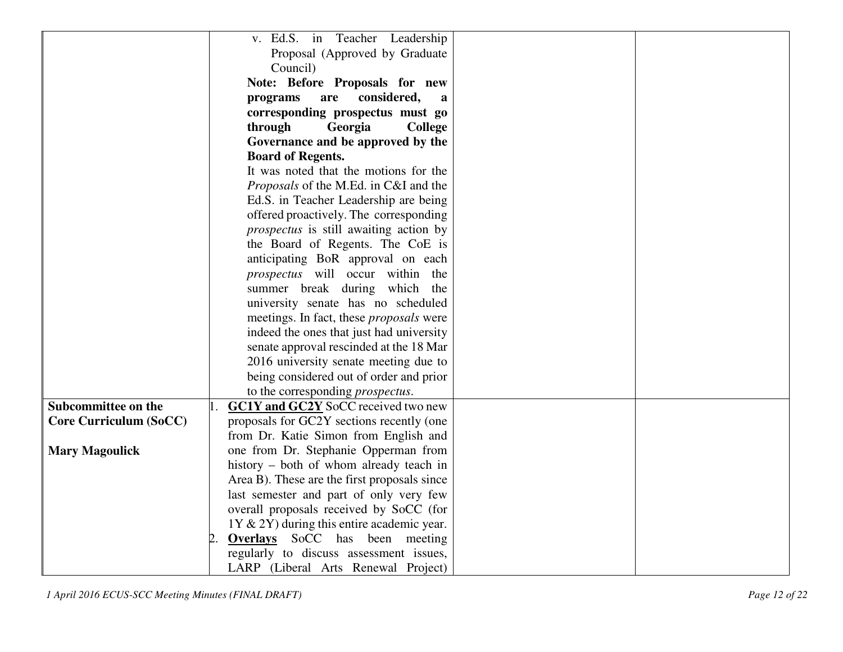|                               | v. Ed.S. in Teacher Leadership                          |
|-------------------------------|---------------------------------------------------------|
|                               | Proposal (Approved by Graduate                          |
|                               | Council)                                                |
|                               | Note: Before Proposals for new                          |
|                               | considered,<br>programs<br>are<br>a                     |
|                               | corresponding prospectus must go                        |
|                               | through<br>Georgia<br><b>College</b>                    |
|                               | Governance and be approved by the                       |
|                               | <b>Board of Regents.</b>                                |
|                               | It was noted that the motions for the                   |
|                               | <i>Proposals</i> of the M.Ed. in C&I and the            |
|                               | Ed.S. in Teacher Leadership are being                   |
|                               | offered proactively. The corresponding                  |
|                               | <i>prospectus</i> is still awaiting action by           |
|                               | the Board of Regents. The CoE is                        |
|                               | anticipating BoR approval on each                       |
|                               | prospectus will occur within the                        |
|                               | summer break during which the                           |
|                               | university senate has no scheduled                      |
|                               | meetings. In fact, these <i>proposals</i> were          |
|                               | indeed the ones that just had university                |
|                               | senate approval rescinded at the 18 Mar                 |
|                               | 2016 university senate meeting due to                   |
|                               | being considered out of order and prior                 |
|                               | to the corresponding <i>prospectus</i> .                |
| Subcommittee on the           | <b>GC1Y</b> and <b>GC2Y</b> SoCC received two new<br>1. |
| <b>Core Curriculum (SoCC)</b> | proposals for GC2Y sections recently (one               |
|                               | from Dr. Katie Simon from English and                   |
| <b>Mary Magoulick</b>         | one from Dr. Stephanie Opperman from                    |
|                               | history – both of whom already teach in                 |
|                               | Area B). These are the first proposals since            |
|                               | last semester and part of only very few                 |
|                               | overall proposals received by SoCC (for                 |
|                               | $1Y & 2Y$ during this entire academic year.             |
|                               | 2.<br><b>Overlays</b> SoCC has been meeting             |
|                               | regularly to discuss assessment issues,                 |
|                               | LARP (Liberal Arts Renewal Project)                     |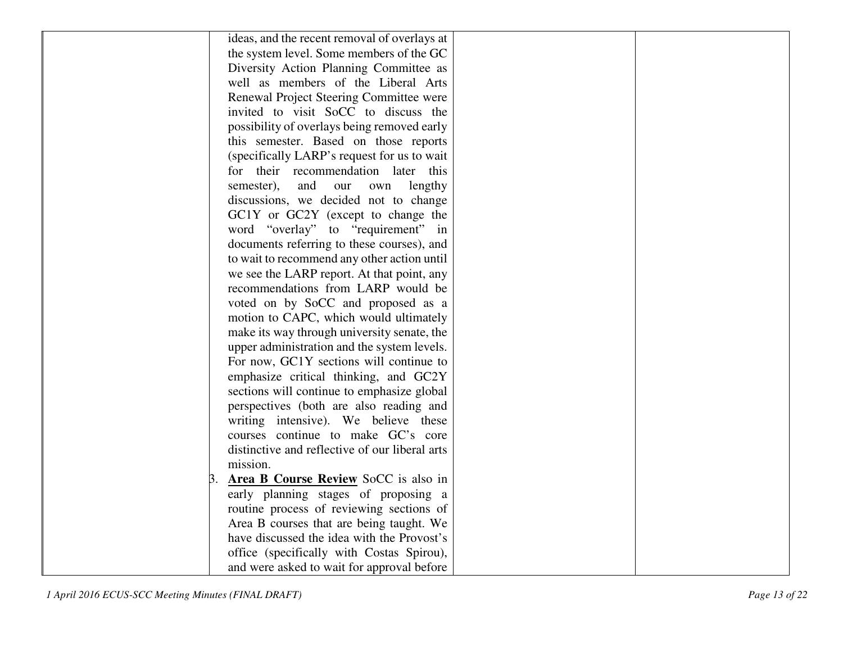| ideas, and the recent removal of overlays at   |
|------------------------------------------------|
| the system level. Some members of the GC       |
| Diversity Action Planning Committee as         |
| well as members of the Liberal Arts            |
| Renewal Project Steering Committee were        |
| invited to visit SoCC to discuss the           |
| possibility of overlays being removed early    |
|                                                |
| this semester. Based on those reports          |
| (specifically LARP's request for us to wait    |
| their recommendation later this<br>for         |
| and<br>semester),<br>our<br>own<br>lengthy     |
| discussions, we decided not to change          |
| GC1Y or GC2Y (except to change the             |
| word "overlay" to "requirement" in             |
| documents referring to these courses), and     |
| to wait to recommend any other action until    |
| we see the LARP report. At that point, any     |
| recommendations from LARP would be             |
| voted on by SoCC and proposed as a             |
| motion to CAPC, which would ultimately         |
| make its way through university senate, the    |
| upper administration and the system levels.    |
| For now, GC1Y sections will continue to        |
| emphasize critical thinking, and GC2Y          |
| sections will continue to emphasize global     |
| perspectives (both are also reading and        |
| writing intensive). We believe these           |
| courses continue to make GC's core             |
| distinctive and reflective of our liberal arts |
| mission.                                       |
| Area B Course Review SoCC is also in           |
| early planning stages of proposing a           |
| routine process of reviewing sections of       |
| Area B courses that are being taught. We       |
| have discussed the idea with the Provost's     |
| office (specifically with Costas Spirou),      |
| and were asked to wait for approval before     |
|                                                |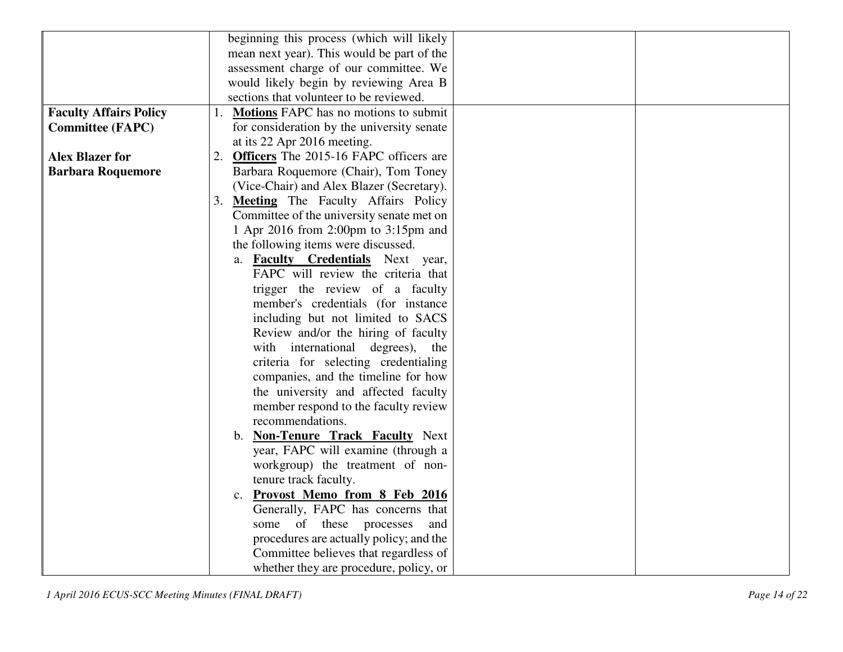|                               | beginning this process (which will likely                                           |
|-------------------------------|-------------------------------------------------------------------------------------|
|                               | mean next year). This would be part of the                                          |
|                               | assessment charge of our committee. We                                              |
|                               | would likely begin by reviewing Area B                                              |
|                               | sections that volunteer to be reviewed.                                             |
| <b>Faculty Affairs Policy</b> | 1. Motions FAPC has no motions to submit                                            |
| <b>Committee (FAPC)</b>       | for consideration by the university senate                                          |
|                               | at its 22 Apr 2016 meeting.                                                         |
| <b>Alex Blazer for</b>        | 2. Officers The 2015-16 FAPC officers are                                           |
| <b>Barbara Roquemore</b>      | Barbara Roquemore (Chair), Tom Toney                                                |
|                               | (Vice-Chair) and Alex Blazer (Secretary).                                           |
|                               | 3. Meeting The Faculty Affairs Policy                                               |
|                               | Committee of the university senate met on                                           |
|                               | 1 Apr 2016 from 2:00pm to 3:15pm and                                                |
|                               | the following items were discussed.                                                 |
|                               | a. <b>Faculty Credentials</b> Next year,                                            |
|                               | FAPC will review the criteria that                                                  |
|                               | trigger the review of a faculty                                                     |
|                               | member's credentials (for instance                                                  |
|                               | including but not limited to SACS                                                   |
|                               | Review and/or the hiring of faculty                                                 |
|                               | with international degrees), the                                                    |
|                               |                                                                                     |
|                               | criteria for selecting credentialing                                                |
|                               | companies, and the timeline for how                                                 |
|                               | the university and affected faculty                                                 |
|                               | member respond to the faculty review<br>recommendations.                            |
|                               |                                                                                     |
|                               | b. Non-Tenure Track Faculty Next                                                    |
|                               | year, FAPC will examine (through a                                                  |
|                               | workgroup) the treatment of non-                                                    |
|                               | tenure track faculty.                                                               |
|                               | Provost Memo from 8 Feb 2016<br>$\mathbf{c}$ .<br>Generally, FAPC has concerns that |
|                               | some of these processes<br>and                                                      |
|                               | procedures are actually policy; and the                                             |
|                               | Committee believes that regardless of                                               |
|                               |                                                                                     |
|                               | whether they are procedure, policy, or                                              |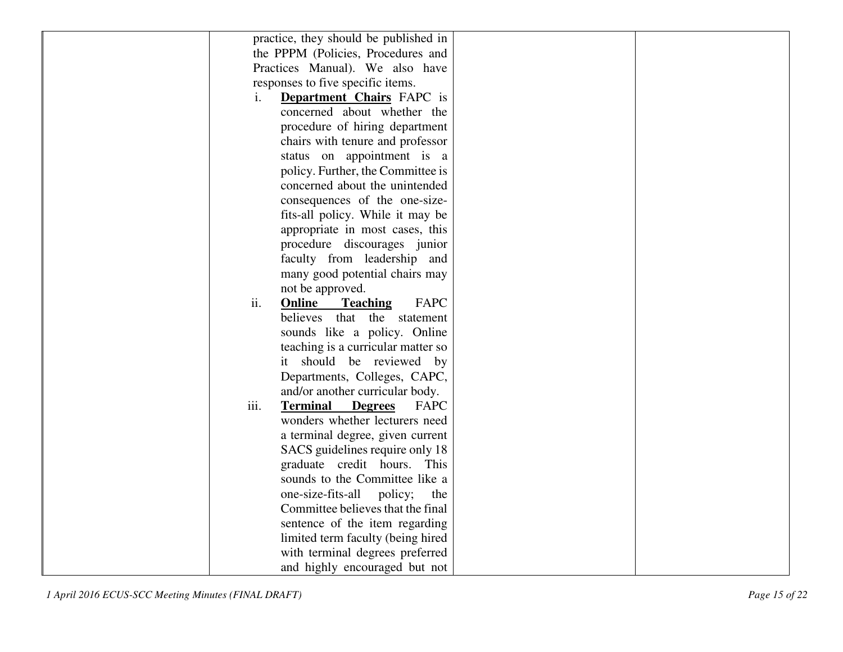| practice, they should be published in              |  |
|----------------------------------------------------|--|
| the PPPM (Policies, Procedures and                 |  |
| Practices Manual). We also have                    |  |
| responses to five specific items.                  |  |
| <b>Department Chairs</b> FAPC is<br>$\mathbf{1}$ . |  |
| concerned about whether the                        |  |
| procedure of hiring department                     |  |
| chairs with tenure and professor                   |  |
| status on appointment is a                         |  |
| policy. Further, the Committee is                  |  |
| concerned about the unintended                     |  |
| consequences of the one-size-                      |  |
|                                                    |  |
| fits-all policy. While it may be                   |  |
| appropriate in most cases, this                    |  |
| procedure discourages junior                       |  |
| faculty from leadership and                        |  |
| many good potential chairs may                     |  |
| not be approved.                                   |  |
| ii.<br>Online<br>FAPC<br><b>Teaching</b>           |  |
| believes<br>that the statement                     |  |
| sounds like a policy. Online                       |  |
| teaching is a curricular matter so                 |  |
| it should be reviewed by                           |  |
| Departments, Colleges, CAPC,                       |  |
| and/or another curricular body.                    |  |
| iii.<br><b>Terminal</b><br><b>Degrees</b><br>FAPC  |  |
| wonders whether lecturers need                     |  |
| a terminal degree, given current                   |  |
| SACS guidelines require only 18                    |  |
| graduate credit hours. This                        |  |
| sounds to the Committee like a                     |  |
| one-size-fits-all<br>policy;<br>the                |  |
| Committee believes that the final                  |  |
| sentence of the item regarding                     |  |
| limited term faculty (being hired                  |  |
| with terminal degrees preferred                    |  |
| and highly encouraged but not                      |  |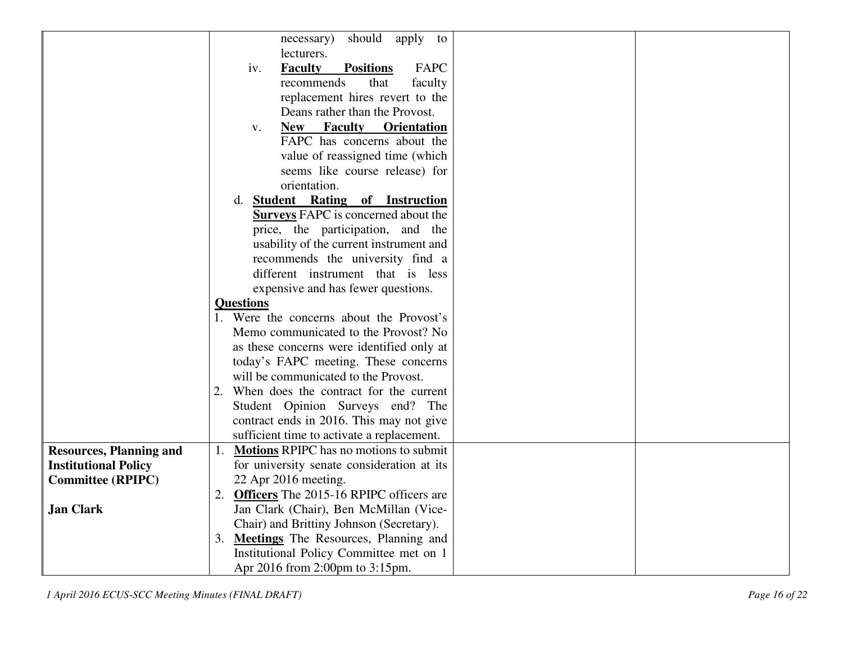|                                | should apply<br>necessary)<br>to                      |
|--------------------------------|-------------------------------------------------------|
|                                | lecturers.                                            |
|                                | <b>Faculty</b><br>FAPC<br><b>Positions</b><br>iv.     |
|                                | recommends<br>that<br>faculty                         |
|                                | replacement hires revert to the                       |
|                                | Deans rather than the Provost.                        |
|                                | <b>New</b>                                            |
|                                | <b>Faculty</b><br><b>Orientation</b><br>$V_{\bullet}$ |
|                                | FAPC has concerns about the                           |
|                                | value of reassigned time (which                       |
|                                | seems like course release) for                        |
|                                | orientation.                                          |
|                                | d. Student Rating of Instruction                      |
|                                | <b>Surveys FAPC</b> is concerned about the            |
|                                | price, the participation, and the                     |
|                                | usability of the current instrument and               |
|                                | recommends the university find a                      |
|                                | different instrument that is less                     |
|                                | expensive and has fewer questions.                    |
|                                | <b>Questions</b>                                      |
|                                | 1. Were the concerns about the Provost's              |
|                                | Memo communicated to the Provost? No                  |
|                                | as these concerns were identified only at             |
|                                | today's FAPC meeting. These concerns                  |
|                                | will be communicated to the Provost.                  |
|                                | 2. When does the contract for the current             |
|                                | Student Opinion Surveys end? The                      |
|                                | contract ends in 2016. This may not give              |
|                                | sufficient time to activate a replacement.            |
| <b>Resources, Planning and</b> | <b>Motions RPIPC</b> has no motions to submit<br>1.   |
| <b>Institutional Policy</b>    | for university senate consideration at its            |
| <b>Committee (RPIPC)</b>       | 22 Apr 2016 meeting.                                  |
|                                | 2. Officers The 2015-16 RPIPC officers are            |
| <b>Jan Clark</b>               | Jan Clark (Chair), Ben McMillan (Vice-                |
|                                | Chair) and Brittiny Johnson (Secretary).              |
|                                | 3. Meetings The Resources, Planning and               |
|                                | Institutional Policy Committee met on 1               |
|                                | Apr 2016 from 2:00pm to 3:15pm.                       |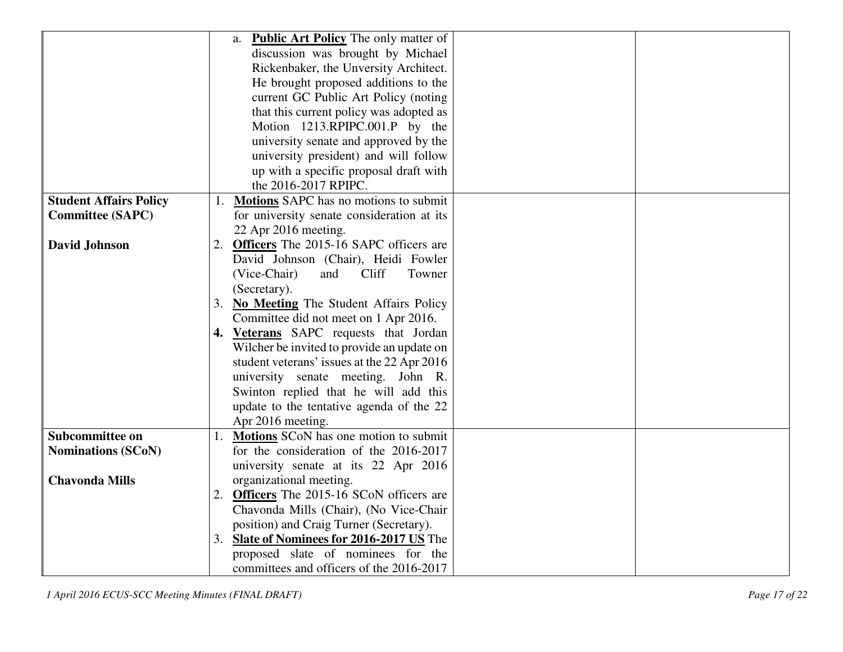|                               | <b>Public Art Policy</b> The only matter of<br>a. |
|-------------------------------|---------------------------------------------------|
|                               | discussion was brought by Michael                 |
|                               | Rickenbaker, the Unversity Architect.             |
|                               | He brought proposed additions to the              |
|                               | current GC Public Art Policy (noting              |
|                               | that this current policy was adopted as           |
|                               | Motion 1213.RPIPC.001.P by the                    |
|                               |                                                   |
|                               | university senate and approved by the             |
|                               | university president) and will follow             |
|                               | up with a specific proposal draft with            |
|                               | the 2016-2017 RPIPC.                              |
| <b>Student Affairs Policy</b> | 1. Motions SAPC has no motions to submit          |
| <b>Committee (SAPC)</b>       | for university senate consideration at its        |
|                               | 22 Apr 2016 meeting.                              |
| <b>David Johnson</b>          | 2. Officers The 2015-16 SAPC officers are         |
|                               | David Johnson (Chair), Heidi Fowler               |
|                               | Cliff<br>(Vice-Chair)<br>and<br>Towner            |
|                               | (Secretary).                                      |
|                               | 3. No Meeting The Student Affairs Policy          |
|                               | Committee did not meet on 1 Apr 2016.             |
|                               | 4. Veterans SAPC requests that Jordan             |
|                               | Wilcher be invited to provide an update on        |
|                               | student veterans' issues at the 22 Apr 2016       |
|                               | university senate meeting. John R.                |
|                               | Swinton replied that he will add this             |
|                               | update to the tentative agenda of the 22          |
|                               | Apr 2016 meeting.                                 |
| Subcommittee on               | 1. Motions SCoN has one motion to submit          |
| <b>Nominations (SCoN)</b>     | for the consideration of the 2016-2017            |
|                               | university senate at its 22 Apr 2016              |
| <b>Chavonda Mills</b>         | organizational meeting.                           |
|                               | 2. Officers The 2015-16 SCoN officers are         |
|                               | Chavonda Mills (Chair), (No Vice-Chair            |
|                               | position) and Craig Turner (Secretary).           |
|                               | 3. Slate of Nominees for 2016-2017 US The         |
|                               | proposed slate of nominees for the                |
|                               | committees and officers of the 2016-2017          |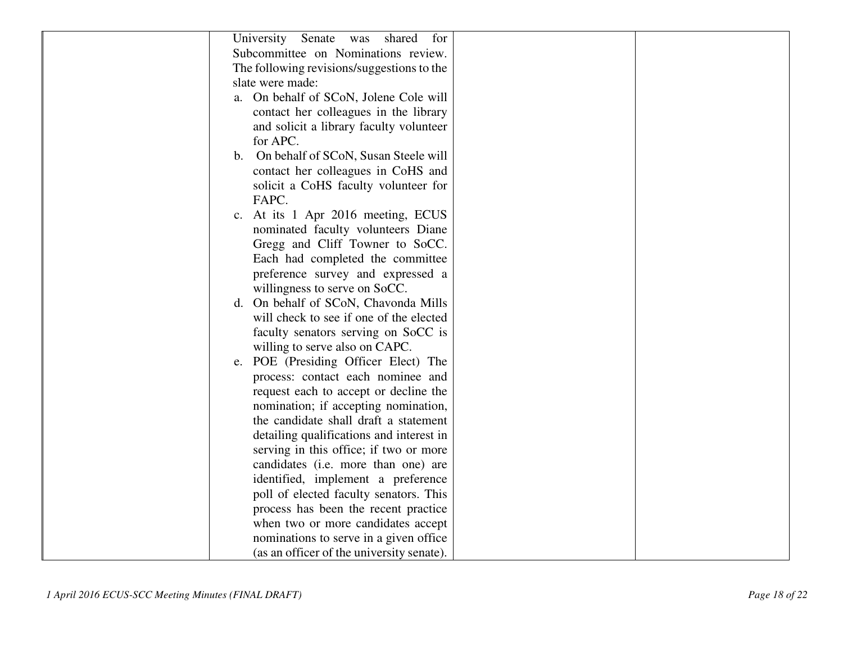| University Senate was<br>shared<br>for     |  |
|--------------------------------------------|--|
| Subcommittee on Nominations review.        |  |
| The following revisions/suggestions to the |  |
| slate were made:                           |  |
| a. On behalf of SCoN, Jolene Cole will     |  |
| contact her colleagues in the library      |  |
| and solicit a library faculty volunteer    |  |
| for APC.                                   |  |
| b. On behalf of SCoN, Susan Steele will    |  |
| contact her colleagues in CoHS and         |  |
| solicit a CoHS faculty volunteer for       |  |
| FAPC.                                      |  |
| c. At its 1 Apr 2016 meeting, ECUS         |  |
| nominated faculty volunteers Diane         |  |
| Gregg and Cliff Towner to SoCC.            |  |
| Each had completed the committee           |  |
| preference survey and expressed a          |  |
| willingness to serve on SoCC.              |  |
| d. On behalf of SCoN, Chavonda Mills       |  |
| will check to see if one of the elected    |  |
| faculty senators serving on SoCC is        |  |
| willing to serve also on CAPC.             |  |
| e. POE (Presiding Officer Elect) The       |  |
| process: contact each nominee and          |  |
| request each to accept or decline the      |  |
| nomination; if accepting nomination,       |  |
| the candidate shall draft a statement      |  |
| detailing qualifications and interest in   |  |
| serving in this office; if two or more     |  |
| candidates (i.e. more than one) are        |  |
| identified, implement a preference         |  |
| poll of elected faculty senators. This     |  |
| process has been the recent practice       |  |
| when two or more candidates accept         |  |
| nominations to serve in a given office     |  |
| (as an officer of the university senate).  |  |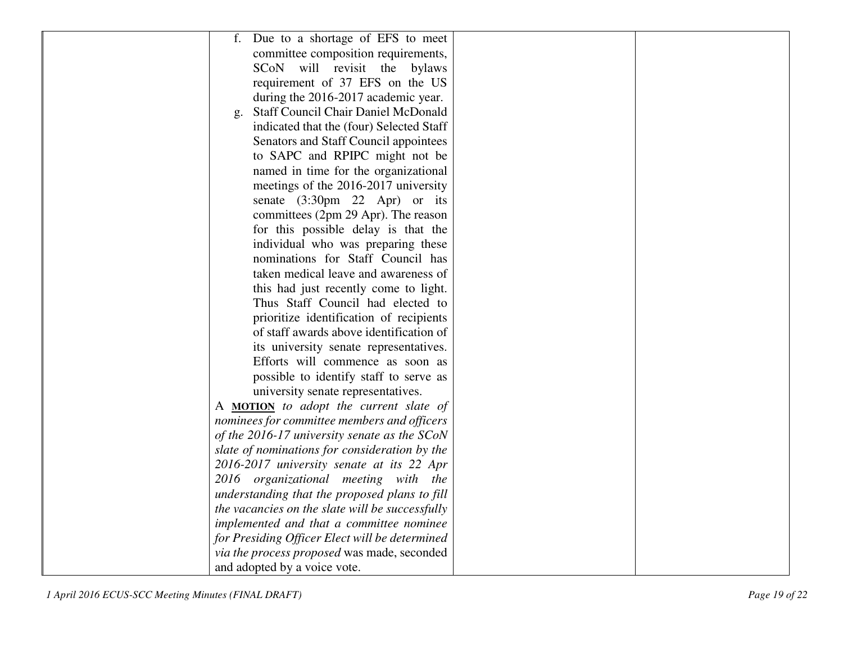| f. Due to a shortage of EFS to meet             |  |
|-------------------------------------------------|--|
| committee composition requirements,             |  |
| SCoN will revisit the bylaws                    |  |
| requirement of 37 EFS on the US                 |  |
| during the 2016-2017 academic year.             |  |
| <b>Staff Council Chair Daniel McDonald</b>      |  |
| $\mathbf{g}$ .                                  |  |
| indicated that the (four) Selected Staff        |  |
| Senators and Staff Council appointees           |  |
| to SAPC and RPIPC might not be                  |  |
| named in time for the organizational            |  |
| meetings of the 2016-2017 university            |  |
| senate (3:30pm 22 Apr) or its                   |  |
| committees (2pm 29 Apr). The reason             |  |
| for this possible delay is that the             |  |
| individual who was preparing these              |  |
| nominations for Staff Council has               |  |
| taken medical leave and awareness of            |  |
| this had just recently come to light.           |  |
| Thus Staff Council had elected to               |  |
| prioritize identification of recipients         |  |
| of staff awards above identification of         |  |
| its university senate representatives.          |  |
| Efforts will commence as soon as                |  |
| possible to identify staff to serve as          |  |
| university senate representatives.              |  |
| A <b>MOTION</b> to adopt the current slate of   |  |
| nominees for committee members and officers     |  |
| of the 2016-17 university senate as the SCoN    |  |
| slate of nominations for consideration by the   |  |
| 2016-2017 university senate at its 22 Apr       |  |
| 2016 organizational meeting with the            |  |
| understanding that the proposed plans to fill   |  |
| the vacancies on the slate will be successfully |  |
| implemented and that a committee nominee        |  |
| for Presiding Officer Elect will be determined  |  |
| via the process proposed was made, seconded     |  |
| and adopted by a voice vote.                    |  |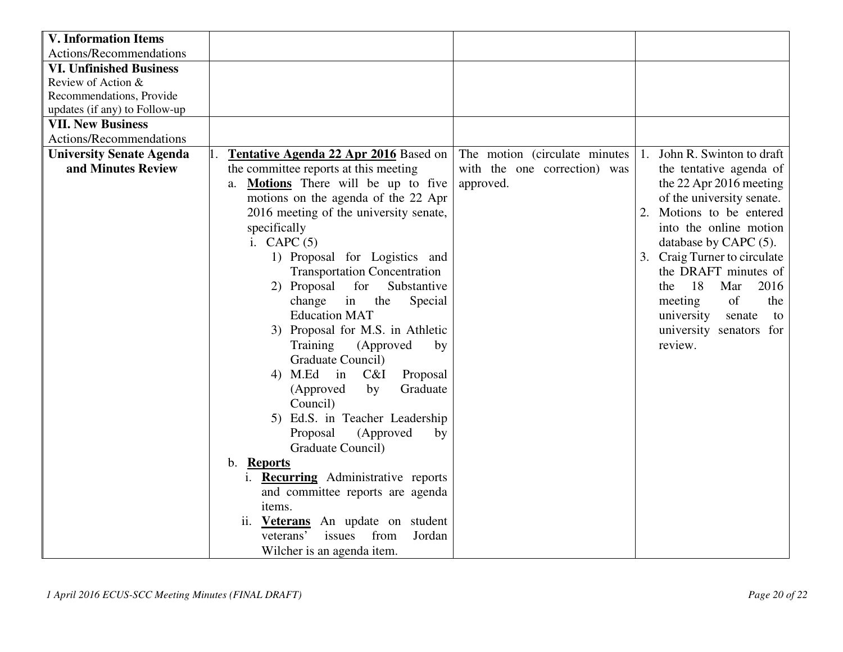| <b>V. Information Items</b>     |                                               |                                |                                |
|---------------------------------|-----------------------------------------------|--------------------------------|--------------------------------|
| Actions/Recommendations         |                                               |                                |                                |
| <b>VI. Unfinished Business</b>  |                                               |                                |                                |
| Review of Action &              |                                               |                                |                                |
| Recommendations, Provide        |                                               |                                |                                |
| updates (if any) to Follow-up   |                                               |                                |                                |
| <b>VII. New Business</b>        |                                               |                                |                                |
| Actions/Recommendations         |                                               |                                |                                |
| <b>University Senate Agenda</b> | <b>Tentative Agenda 22 Apr 2016</b> Based on  | The motion (circulate minutes) | John R. Swinton to draft<br>1. |
| and Minutes Review              | the committee reports at this meeting         | with the one correction) was   | the tentative agenda of        |
|                                 | Motions There will be up to five<br>a.        | approved.                      | the 22 Apr 2016 meeting        |
|                                 | motions on the agenda of the 22 Apr           |                                | of the university senate.      |
|                                 | 2016 meeting of the university senate,        |                                | Motions to be entered<br>2.    |
|                                 | specifically                                  |                                | into the online motion         |
|                                 | i. CAPC $(5)$                                 |                                | database by CAPC (5).          |
|                                 | 1) Proposal for Logistics and                 |                                | 3. Craig Turner to circulate   |
|                                 | <b>Transportation Concentration</b>           |                                | the DRAFT minutes of           |
|                                 | 2) Proposal<br>for<br>Substantive             |                                | 18<br>2016<br>Mar<br>the       |
|                                 | change<br>the<br>Special<br>in                |                                | of<br>the<br>meeting           |
|                                 | <b>Education MAT</b>                          |                                | university<br>senate<br>to     |
|                                 | 3) Proposal for M.S. in Athletic              |                                | university senators for        |
|                                 | (Approved<br>Training<br>by                   |                                | review.                        |
|                                 | Graduate Council)                             |                                |                                |
|                                 | 4) M.Ed in<br>C&I<br>Proposal                 |                                |                                |
|                                 | Graduate<br>(Approved<br>by                   |                                |                                |
|                                 | Council)                                      |                                |                                |
|                                 | 5) Ed.S. in Teacher Leadership                |                                |                                |
|                                 | Proposal<br>(Approved<br>by                   |                                |                                |
|                                 | Graduate Council)                             |                                |                                |
|                                 | <b>Reports</b><br>$\mathbf{b}$ .              |                                |                                |
|                                 | <b>Recurring</b> Administrative reports<br>1. |                                |                                |
|                                 | and committee reports are agenda              |                                |                                |
|                                 | items.                                        |                                |                                |
|                                 | An update on student<br>ii. Veterans          |                                |                                |
|                                 | issues<br>from<br>Jordan<br>veterans'         |                                |                                |
|                                 | Wilcher is an agenda item.                    |                                |                                |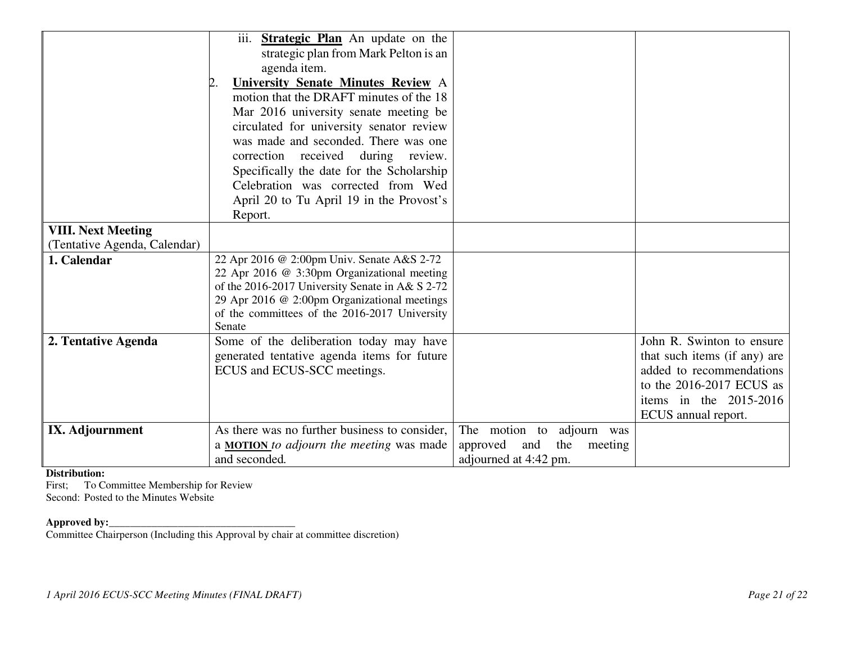|                              | iii. <b>Strategic Plan</b> An update on the<br>strategic plan from Mark Pelton is an           |                                   |                              |
|------------------------------|------------------------------------------------------------------------------------------------|-----------------------------------|------------------------------|
|                              | agenda item.                                                                                   |                                   |                              |
|                              | University Senate Minutes Review A                                                             |                                   |                              |
|                              | motion that the DRAFT minutes of the 18                                                        |                                   |                              |
|                              | Mar 2016 university senate meeting be                                                          |                                   |                              |
|                              | circulated for university senator review                                                       |                                   |                              |
|                              | was made and seconded. There was one                                                           |                                   |                              |
|                              | correction received during review.                                                             |                                   |                              |
|                              | Specifically the date for the Scholarship                                                      |                                   |                              |
|                              | Celebration was corrected from Wed                                                             |                                   |                              |
|                              | April 20 to Tu April 19 in the Provost's                                                       |                                   |                              |
|                              | Report.                                                                                        |                                   |                              |
| <b>VIII. Next Meeting</b>    |                                                                                                |                                   |                              |
| (Tentative Agenda, Calendar) |                                                                                                |                                   |                              |
| 1. Calendar                  | 22 Apr 2016 @ 2:00pm Univ. Senate A&S 2-72                                                     |                                   |                              |
|                              | 22 Apr 2016 @ 3:30pm Organizational meeting<br>of the 2016-2017 University Senate in A& S 2-72 |                                   |                              |
|                              | 29 Apr 2016 @ 2:00pm Organizational meetings                                                   |                                   |                              |
|                              | of the committees of the 2016-2017 University                                                  |                                   |                              |
|                              | Senate                                                                                         |                                   |                              |
| 2. Tentative Agenda          | Some of the deliberation today may have                                                        |                                   | John R. Swinton to ensure    |
|                              | generated tentative agenda items for future                                                    |                                   | that such items (if any) are |
|                              | ECUS and ECUS-SCC meetings.                                                                    |                                   | added to recommendations     |
|                              |                                                                                                |                                   | to the $2016-2017$ ECUS as   |
|                              |                                                                                                |                                   | items in the $2015-2016$     |
|                              |                                                                                                |                                   | ECUS annual report.          |
| IX. Adjournment              | As there was no further business to consider,                                                  | The motion to adjourn was         |                              |
|                              | a <b>MOTION</b> to adjourn the meeting was made                                                | approved<br>the<br>and<br>meeting |                              |
|                              | and seconded.                                                                                  | adjourned at 4:42 pm.             |                              |

### **Distribution:**

 First; To Committee Membership for Review Second: Posted to the Minutes Website

**Approved by:**<br>Committee Chairperson (Including this Approval by chair at committee discretion)